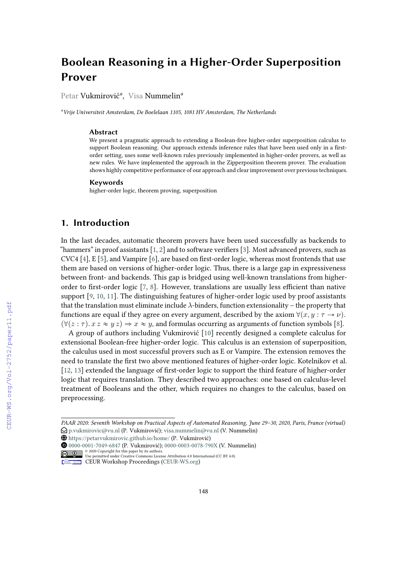# **Boolean Reasoning in a Higher-Order Superposition Prover**

Petar Vukmirović*<sup>a</sup>* , Visa Nummelin*<sup>a</sup>*

*<sup>a</sup>Vrije Universiteit Amsterdam, De Boelelaan 1105, 1081 HV Amsterdam, The Netherlands*

#### **Abstract**

We present a pragmatic approach to extending a Boolean-free higher-order superposition calculus to support Boolean reasoning. Our approach extends inference rules that have been used only in a firstorder setting, uses some well-known rules previously implemented in higher-order provers, as well as new rules. We have implemented the approach in the Zipperposition theorem prover. The evaluation shows highly competitive performance of our approach and clear improvement over previous techniques.

#### **Keywords**

higher-order logic, theorem proving, superposition

### **1. Introduction**

In the last decades, automatic theorem provers have been used successfully as backends to "hammers" in proof assistants  $[1, 2]$  $[1, 2]$  $[1, 2]$  and to software verifiers  $[3]$ . Most advanced provers, such as CVC4 [\[4\]](#page--1-3), E [\[5\]](#page--1-4), and Vampire [\[6\]](#page--1-5), are based on first-order logic, whereas most frontends that use them are based on versions of higher-order logic. Thus, there is a large gap in expressiveness between front- and backends. This gap is bridged using well-known translations from higherorder to first-order logic [\[7,](#page--1-6) [8\]](#page--1-7). However, translations are usually less efficient than native support [\[9,](#page--1-8) [10,](#page--1-9) [11\]](#page--1-10). The distinguishing features of higher-order logic used by proof assistants that the translation must eliminate include  $\lambda$ -binders, function extensionality – the property that functions are equal if they agree on every argument, described by the axiom  $\forall (x, y : \tau \rightarrow \nu)$ .  $(\forall (z : \tau) \ldotp x \approx y \approx y \Rightarrow x \approx y$ , and formulas occurring as arguments of function symbols [\[8\]](#page--1-7).

A group of authors including Vukmirović [\[10\]](#page--1-9) recently designed a complete calculus for extensional Boolean-free higher-order logic. This calculus is an extension of superposition, the calculus used in most successful provers such as E or Vampire. The extension removes the need to translate the first two above mentioned features of higher-order logic. Kotelnikov et al. [\[12,](#page--1-11) [13\]](#page--1-12) extended the language of first-order logic to support the third feature of higher-order logic that requires translation. They described two approaches: one based on calculus-level treatment of Booleans and the other, which requires no changes to the calculus, based on preprocessing.

*PAAR 2020: Seventh Workshop on Practical Aspects of Automated Reasoning, June 29–30, 2020, Paris, France (virtual)*  $\bigcirc$  [p.vukmirovic@vu.nl](mailto:p.vukmirovic@vu.nl) (P. Vukmirović); [visa.nummelin@vu.nl](mailto:visa.nummelin@vu.nl) (V. Nummelin)

<sup>{</sup> <https://petarvukmirovic.github.io/home/> (P. Vukmirović)

[0000-0001-7049-6847](https://orcid.org/0000-0001-7049-6847) (P. Vukmirović); [0000-0003-0078-790X](https://orcid.org/0000-0003-0078-790X) (V. Nummelin)

<sup>©</sup> 2020 Copyright for this paper by its authors. Use permitted under Creative Commons License Attribution 4.0 International (CC BY 4.0).

CEUR Workshop [Proceedings](http://ceur-ws.org) [\(CEUR-WS.org\)](http://ceur-ws.org)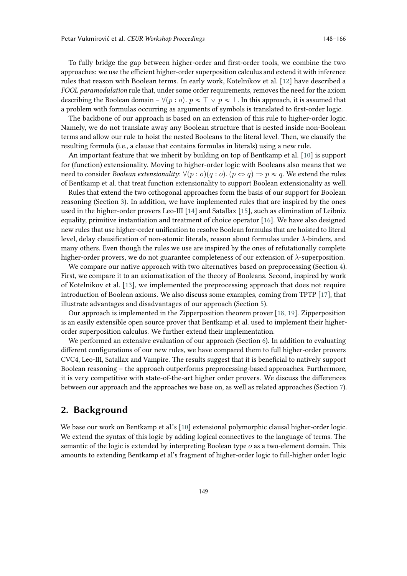To fully bridge the gap between higher-order and first-order tools, we combine the two approaches: we use the efficient higher-order superposition calculus and extend it with inference rules that reason with Boolean terms. In early work, Kotelnikov et al. [\[12\]](#page-16-0) have described a *FOOL paramodulation* rule that, under some order requirements, removes the need for the axiom describing the Boolean domain –  $\forall (p : o)$ .  $p \approx \top \lor p \approx \bot$ . In this approach, it is assumed that a problem with formulas occurring as arguments of symbols is translated to first-order logic.

The backbone of our approach is based on an extension of this rule to higher-order logic. Namely, we do not translate away any Boolean structure that is nested inside non-Boolean terms and allow our rule to hoist the nested Booleans to the literal level. Then, we clausify the resulting formula (i.e., a clause that contains formulas in literals) using a new rule.

An important feature that we inherit by building on top of Bentkamp et al. [\[10\]](#page-16-1) is support for (function) extensionality. Moving to higher-order logic with Booleans also means that we need to consider *Boolean extensionality*:  $\forall (p : o)(q : o) \ldots (p \Leftrightarrow q) \Rightarrow p \approx q$ . We extend the rules of Bentkamp et al. that treat function extensionality to support Boolean extensionality as well.

Rules that extend the two orthogonal approaches form the basis of our support for Boolean reasoning (Section [3\)](#page-3-0). In addition, we have implemented rules that are inspired by the ones used in the higher-order provers Leo-III [\[14\]](#page-16-2) and Satallax [\[15\]](#page-16-3), such as elimination of Leibniz equality, primitive instantiation and treatment of choice operator [\[16\]](#page-16-4). We have also designed new rules that use higher-order unification to resolve Boolean formulas that are hoisted to literal level, delay clausification of non-atomic literals, reason about formulas under  $\lambda$ -binders, and many others. Even though the rules we use are inspired by the ones of refutationally complete higher-order provers, we do not guarantee completeness of our extension of  $\lambda$ -superposition.

We compare our native approach with two alternatives based on preprocessing (Section [4\)](#page-10-0). First, we compare it to an axiomatization of the theory of Booleans. Second, inspired by work of Kotelnikov et al. [\[13\]](#page-16-5), we implemented the preprocessing approach that does not require introduction of Boolean axioms. We also discuss some examples, coming from TPTP [\[17\]](#page-16-6), that illustrate advantages and disadvantages of our approach (Section [5\)](#page-11-0).

Our approach is implemented in the Zipperposition theorem prover [\[18,](#page-17-0) [19\]](#page-17-1). Zipperposition is an easily extensible open source prover that Bentkamp et al. used to implement their higherorder superposition calculus. We further extend their implementation.

We performed an extensive evaluation of our approach (Section [6\)](#page-12-0). In addition to evaluating different configurations of our new rules, we have compared them to full higher-order provers CVC4, Leo-III, Satallax and Vampire. The results suggest that it is beneficial to natively support Boolean reasoning – the approach outperforms preprocessing-based approaches. Furthermore, it is very competitive with state-of-the-art higher order provers. We discuss the differences between our approach and the approaches we base on, as well as related approaches (Section [7\)](#page-14-0).

### <span id="page-1-0"></span>**2. Background**

We base our work on Bentkamp et al.'s [\[10\]](#page-16-1) extensional polymorphic clausal higher-order logic. We extend the syntax of this logic by adding logical connectives to the language of terms. The semantic of the logic is extended by interpreting Boolean type  $o$  as a two-element domain. This amounts to extending Bentkamp et al's fragment of higher-order logic to full-higher order logic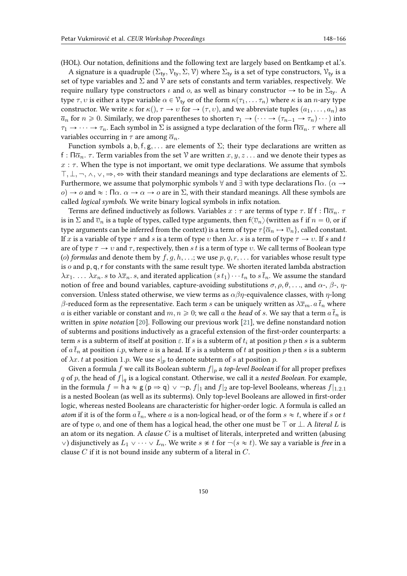(HOL). Our notation, definitions and the following text are largely based on Bentkamp et al.'s.

A signature is a quadruple  $(\Sigma_{t_v}, \mathcal{V}_{t_v}, \Sigma, \mathcal{V})$  where  $\Sigma_{t_v}$  is a set of type constructors,  $\mathcal{V}_{t_v}$  is a set of type variables and  $\Sigma$  and  $\mathcal V$  are sets of constants and term variables, respectively. We require nullary type constructors  $\iota$  and  $\omicron$ , as well as binary constructor  $\rightarrow$  to be in  $\Sigma_{\text{tv}}$ . A type  $\tau, v$  is either a type variable  $\alpha \in V_{\tau}$  or of the form  $\kappa(\tau_1, \dots \tau_n)$  where  $\kappa$  is an *n*-ary type constructor. We write  $\kappa$  for  $\kappa($ ,  $\tau \to v$  for  $\to (\tau, v)$ , and we abbreviate tuples  $(a_1, \ldots, a_n)$  as  $\overline{a}_n$  for  $n \ge 0$ . Similarly, we drop parentheses to shorten  $\tau_1 \to (\cdots \to (\tau_{n-1} \to \tau_n) \cdots)$  into  $\tau_1 \to \cdots \to \tau_n$ . Each symbol in  $\Sigma$  is assigned a type declaration of the form  $\Pi \overline{\alpha}_n$ .  $\tau$  where all variables occurring in  $\tau$  are among  $\overline{\alpha}_n$ .

Function symbols a, b, f, g, ... are elements of  $\Sigma$ ; their type declarations are written as f :  $\Pi \overline{\alpha}_n$ .  $\tau$ . Term variables from the set  $\mathcal V$  are written  $x, y, z \ldots$  and we denote their types as  $x : \tau$ . When the type is not important, we omit type declarations. We assume that symbols  $\top, \bot, \neg, \wedge, \vee, \Rightarrow, \Leftrightarrow$  with their standard meanings and type declarations are elements of  $\Sigma$ . Furthermore, we assume that polymorphic symbols  $\forall$  and  $\exists$  with type declarations  $\Pi \alpha$ . ( $\alpha \rightarrow$  $\alpha$   $\rightarrow$   $\alpha$  and  $\approx$  : Π $\alpha$ .  $\alpha \rightarrow \alpha \rightarrow \alpha$  are in  $\Sigma$ , with their standard meanings. All these symbols are called *logical symbols*. We write binary logical symbols in infix notation.

Terms are defined inductively as follows. Variables  $x : \tau$  are terms of type  $\tau$ . If f :  $\Pi \overline{\alpha}_n$ .  $\tau$ is in  $\Sigma$  and  $\overline{v}_n$  is a tuple of types, called type arguments, then f $\langle \overline{v}_n \rangle$  (written as f if  $n = 0$ , or if type arguments can be inferred from the context) is a term of type  $\tau{\bar{\alpha}}_n \mapsto \overline{v}_n$ , called constant. If x is a variable of type  $\tau$  and s is a term of type v then  $\lambda x$ . s is a term of type  $\tau \to v$ . If s and t are of type  $\tau \to v$  and  $\tau$ , respectively, then s t is a term of type v. We call terms of Boolean type (o) *formulas* and denote them by  $f, g, h, \ldots$ ; we use  $p, q, r, \ldots$  for variables whose result type is  $o$  and  $p, q, r$  for constants with the same result type. We shorten iterated lambda abstraction  $\lambda x_1$ ...  $\lambda x_n$ . s to  $\lambda \overline{x}_n$ . s, and iterated application  $(s t_1) \cdots t_n$  to  $s \overline{t}_n$ . We assume the standard notion of free and bound variables, capture-avoiding substitutions  $\sigma$ ,  $\rho$ ,  $\theta$ ,..., and  $\alpha$ -,  $\beta$ -,  $\eta$ conversion. Unless stated otherwise, we view terms as  $\alpha\beta\eta$ -equivalence classes, with  $\eta$ -long  $\beta$ -reduced form as the representative. Each term s can be uniquely written as  $\lambda \bar{x}_m$ .  $a \bar{t}_n$  where *a* is either variable or constant and  $m, n \geq 0$ ; we call *a* the *head* of *s*. We say that a term  $a \bar{t}_n$  is written in *spine notation* [\[20\]](#page-17-2). Following our previous work [\[21\]](#page-17-3), we define nonstandard notion of subterms and positions inductively as a graceful extension of the first-order counterparts: a term s is a subterm of itself at position  $\varepsilon$ . If s is a subterm of  $t_i$  at position p then s is a subterm of  $a\bar{t}_n$  at position i.p, where a is a head. If s is a subterm of t at position p then s is a subterm of  $\lambda x. t$  at position 1.p. We use  $s|_p$  to denote subterm of s at position p.

Given a formula  $f$  we call its Boolean subterm  $f|_p$  a *top-level Boolean* if for all proper prefixes q of p, the head of  $f|_q$  is a logical constant. Otherwise, we call it a *nested Boolean*. For example, in the formula  $f = h a \approx g (p \Rightarrow q) \vee \neg p$ ,  $f|_1$  and  $f|_2$  are top-level Booleans, whereas  $f|_{1,2,1}$ is a nested Boolean (as well as its subterms). Only top-level Booleans are allowed in first-order logic, whereas nested Booleans are characteristic for higher-order logic. A formula is called an *atom* if it is of the form  $a\bar{t}_n$ , where a is a non-logical head, or of the form  $s \approx t$ , where if s or t are of type  $o$ , and one of them has a logical head, the other one must be  $\top$  or  $\bot$ . A *literal*  $L$  is an atom or its negation. A *clause* C is a multiset of literals, interpreted and written (abusing  $\vee$ ) disjunctively as  $L_1 \vee \cdots \vee L_n$ . We write  $s \not\approx t$  for  $\neg(s \approx t)$ . We say a variable is *free* in a clause  $C$  if it is not bound inside any subterm of a literal in  $C$ .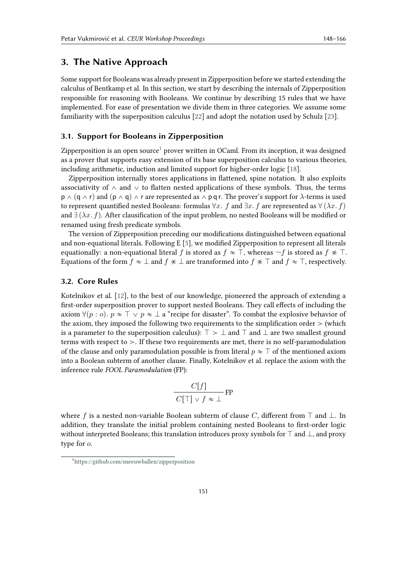### <span id="page-3-0"></span>**3. The Native Approach**

Some support for Booleans was already present in Zipperposition before we started extending the calculus of Bentkamp et al. In this section, we start by describing the internals of Zipperposition responsible for reasoning with Booleans. We continue by describing 15 rules that we have implemented. For ease of presentation we divide them in three categories. We assume some familiarity with the superposition calculus [\[22\]](#page-17-4) and adopt the notation used by Schulz [\[23\]](#page-17-5).

#### **3.1. Support for Booleans in Zipperposition**

Zipperposition is an open source<sup>[1](#page-3-1)</sup> prover written in OCaml. From its inception, it was designed as a prover that supports easy extension of its base superposition calculus to various theories, including arithmetic, induction and limited support for higher-order logic [\[18\]](#page-17-0).

Zipperposition internally stores applications in flattened, spine notation. It also exploits associativity of  $\land$  and  $\lor$  to flatten nested applications of these symbols. Thus, the terms  $p \wedge (q \wedge r)$  and  $(p \wedge q) \wedge r$  are represented as  $\wedge p q r$ . The prover's support for  $\lambda$ -terms is used to represent quantified nested Booleans: formulas  $\forall x$ . f and  $\exists x$ . f are represented as  $\forall (\lambda x. f)$ and  $\exists (\lambda x. f)$ . After clausification of the input problem, no nested Booleans will be modified or renamed using fresh predicate symbols.

The version of Zipperposition preceding our modifications distinguished between equational and non-equational literals. Following E [\[5\]](#page-16-7), we modified Zipperposition to represent all literals equationally: a non-equational literal f is stored as  $f \approx \top$ , whereas  $\neg f$  is stored as  $f \not\approx \top$ . Equations of the form  $f \approx \bot$  and  $f \not\approx \bot$  are transformed into  $f \not\approx \top$  and  $f \approx \top$ , respectively.

#### **3.2. Core Rules**

Kotelnikov et al. [\[12\]](#page-16-0), to the best of our knowledge, pioneered the approach of extending a first-order superposition prover to support nested Booleans. They call effects of including the axiom  $\forall (p : o)$ .  $p \approx \top \lor p \approx \bot$  a "recipe for disaster". To combat the explosive behavior of the axiom, they imposed the following two requirements to the simplification order  $\geq$  (which is a parameter to the superposition calculus):  $\top \succ \bot$  and  $\top$  and  $\bot$  are two smallest ground terms with respect to  $\geq$ . If these two requirements are met, there is no self-paramodulation of the clause and only paramodulation possible is from literal  $p \approx \top$  of the mentioned axiom into a Boolean subterm of another clause. Finally, Kotelnikov et al. replace the axiom with the inference rule *FOOL Paramodulation* (FP):

$$
\frac{C[f]}{C[\top] \vee f \approx \bot} \text{FP}
$$

where f is a nested non-variable Boolean subterm of clause C, different from  $\top$  and  $\bot$ . In addition, they translate the initial problem containing nested Booleans to first-order logic without interpreted Booleans; this translation introduces proxy symbols for  $\top$  and  $\bot$ , and proxy type for  $o$ .

<span id="page-3-1"></span><sup>1</sup> <https://github.com/sneeuwballen/zipperposition>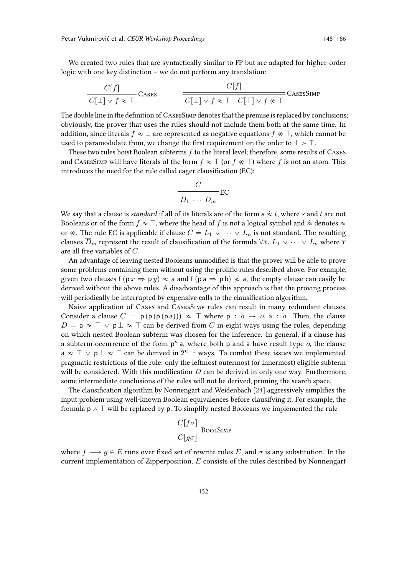We created two rules that are syntactically similar to FP but are adapted for higher-order logic with one key distinction – we do not perform any translation:

$$
\frac{C[f]}{C[\perp] \vee f \approx \top} \text{CASES} \qquad \frac{C[f]}{C[\perp] \vee f \approx \top \quad C[\top] \vee f \not\approx \top} \text{CASESIMP}
$$

The double line in the definition of CasesSimp denotes that the premise is replaced by conclusions; obviously, the prover that uses the rules should not include them both at the same time. In addition, since literals  $f \approx \bot$  are represented as negative equations  $f \not\approx \top$ , which cannot be used to paramodulate from, we change the first requirement on the order to  $\perp > \top$ .

These two rules hoist Boolean subterms  $f$  to the literal level; therefore, some results of CASES and CASESSIMP will have literals of the form  $f \approx \top$  (or  $f \not\approx \top$ ) where f is not an atom. This introduces the need for the rule called eager clausification (EC):

$$
\frac{C}{D_1 \cdots D_m}
$$
EC

We say that a clause is *standard* if all of its literals are of the form  $s\stackrel{.}{\approx}t,$  where  $s$  and  $t$  are not Booleans or of the form  $f \approx \top$ , where the head of  $f$  is not a logical symbol and  $\approx$  denotes  $\approx$ or  $\hat{\mathcal{F}}$ . The rule EC is applicable if clause  $C = L_1 \vee \cdots \vee L_n$  is not standard. The resulting clauses  $D_m$  represent the result of clausification of the formula  $\forall \bar{x}$ .  $L_1 \vee \cdots \vee L_n$  where  $\bar{x}$ are all free variables of  $C$ .

An advantage of leaving nested Booleans unmodified is that the prover will be able to prove some problems containing them without using the prolific rules described above. For example, given two clauses  $f(p \, x \Rightarrow p \, y) \approx a$  and  $f(p \, a \Rightarrow p \, b) \not\approx a$ , the empty clause can easily be derived without the above rules. A disadvantage of this approach is that the proving process will periodically be interrupted by expensive calls to the clausification algorithm.

Naive application of Cases and CasesSimp rules can result in many redundant clauses. Consider a clause  $C = p(p(p|pa))) \approx \top$  where  $p : o \rightarrow o$ , a : o. Then, the clause  $D = a \approx \top \vee p \bot \approx \top$  can be derived from C in eight ways using the rules, depending on which nested Boolean subterm was chosen for the inference. In general, if a clause has a subterm occurrence of the form  $p^n$  a, where both p and a have result type  $o$ , the clause  $\mathsf{a} \approx \top \lor \mathsf{p} \bot \approx \top$  can be derived in  $2^{n-1}$  ways. To combat these issues we implemented pragmatic restrictions of the rule: only the leftmost outermost (or innermost) eligible subterm will be considered. With this modification  $D$  can be derived in only one way. Furthermore, some intermediate conclusions of the rules will not be derived, pruning the search space.

The clausification algorithm by Nonnengart and Weidenbach [\[24\]](#page-17-6) aggressively simplifies the input problem using well-known Boolean equivalences before clausifying it. For example, the formula  $p \wedge \top$  will be replaced by p. To simplify nested Booleans we implemented the rule

$$
\frac{C[f\sigma]}{C[g\sigma]}
$$
BookSIMP

where  $f \longrightarrow g \in E$  runs over fixed set of rewrite rules E, and  $\sigma$  is any substitution. In the current implementation of Zipperposition,  $E$  consists of the rules described by Nonnengart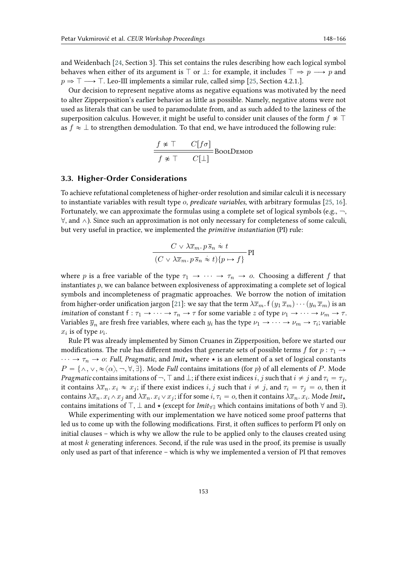and Weidenbach [\[24,](#page-17-6) Section 3]. This set contains the rules describing how each logical symbol behaves when either of its argument is  $\top$  or  $\bot$ : for example, it includes  $\top \Rightarrow p \longrightarrow p$  and  $p \Rightarrow \top \longrightarrow \top$ . Leo-III implements a similar rule, called simp [\[25,](#page-17-7) Section 4.2.1.].

Our decision to represent negative atoms as negative equations was motivated by the need to alter Zipperposition's earlier behavior as little as possible. Namely, negative atoms were not used as literals that can be used to paramodulate from, and as such added to the laziness of the superposition calculus. However, it might be useful to consider unit clauses of the form  $f \not\approx \top$ as  $f \approx \perp$  to strengthen demodulation. To that end, we have introduced the following rule:

$$
\frac{f \ast \top \quad C[f\sigma]}{f \ast \top \quad C[\bot]} \text{BoolDEMOD}
$$

#### **3.3. Higher-Order Considerations**

To achieve refutational completeness of higher-order resolution and similar calculi it is necessary to instantiate variables with result type *o*, *predicate variables*, with arbitrary formulas [\[25,](#page-17-7) [16\]](#page-16-4). Fortunately, we can approximate the formulas using a complete set of logical symbols (e.g.,  $\neg$ ,  $\forall$ , and  $\land$ ). Since such an approximation is not only necessary for completeness of some calculi, but very useful in practice, we implemented the *primitive instantiation* (PI) rule:

$$
\frac{C \vee \lambda \overline{x}_m \cdot p \, \overline{s}_n \approx t}{(C \vee \lambda \overline{x}_m \cdot p \, \overline{s}_n \approx t) \{p \mapsto f\}} \, \text{PI}
$$

where p is a free variable of the type  $\tau_1 \to \cdots \to \tau_n \to o$ . Choosing a different f that instantiates  $p$ , we can balance between explosiveness of approximating a complete set of logical symbols and incompleteness of pragmatic approaches. We borrow the notion of imitation from higher-order unification jargon [\[21\]](#page-17-3): we say that the term  $\lambda \bar{x}_m$ .  $f(y_1 \bar{x}_m) \cdots (y_n \bar{x}_m)$  is an *imitation* of constant  $f : \tau_1 \to \cdots \to \tau_n \to \tau$  for some variable  $z$  of type  $\nu_1 \to \cdots \to \nu_m \to \tau$ . Variables  $\overline{y}_n$  are fresh free variables, where each  $y_i$  has the type  $\nu_1 \to \cdots \to \nu_m \to \tau_i$ ; variable  $x_i$  is of type  $\nu_i$ .

Rule PI was already implemented by Simon Cruanes in Zipperposition, before we started our modifications. The rule has different modes that generate sets of possible terms f for  $p : \tau_1 \rightarrow$  $\cdots \rightarrow \tau_n \rightarrow o$ : *Full*, *Pragmatic*, and *Imit*<sub>\*</sub> where  $\star$  is an element of a set of logical constants  $P = \{\wedge, \vee, \infty\langle \alpha \rangle, \neg, \forall, \exists\}.$  Mode *Full* contains imitations (for *p*) of all elements of *P*. Mode *Pragmatic* contains imitations of  $\neg$ ,  $\top$  and  $\bot$ ; if there exist indices *i*, *j* such that  $i \neq j$  and  $\tau_i = \tau_j$ , it contains  $\lambda \overline{x}_n \cdot x_i \approx x_j$ ; if there exist indices  $i, j$  such that  $i \neq j$ , and  $\tau_i = \tau_j = o$ , then it contains  $\lambda \overline{x}_n .$   $x_i \wedge x_j$  and  $\lambda \overline{x}_n .$   $x_i \vee x_j$ ; if for some  $i,$   $\tau_i = o,$  then it contains  $\lambda \overline{x}_n .$   $x_i.$  Mode Imit $_{\star}$ contains imitations of  $\top$ ,  $\bot$  and  $\star$  (except for *Imit*<sub> $\forall$ </sub> which contains imitations of both  $\forall$  and  $\exists$ ).

While experimenting with our implementation we have noticed some proof patterns that led us to come up with the following modifications. First, it often suffices to perform PI only on initial clauses – which is why we allow the rule to be applied only to the clauses created using at most  $k$  generating inferences. Second, if the rule was used in the proof, its premise is usually only used as part of that inference – which is why we implemented a version of PI that removes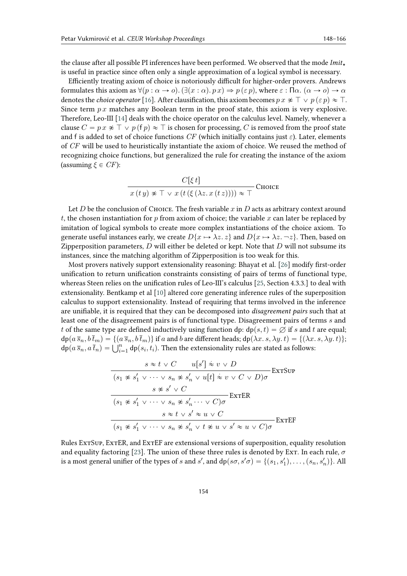the clause after all possible PI inferences have been performed. We observed that the mode  $Imit_{\star}$ is useful in practice since often only a single approximation of a logical symbol is necessary.

Efficiently treating axiom of choice is notoriously difficult for higher-order provers. Andrews formulates this axiom as  $\forall (p : \alpha \to o)$ .  $(\exists (x : \alpha) . p x) \Rightarrow p (\in p)$ , where  $\varepsilon$  :  $\Pi \alpha$ .  $(\alpha \to o) \to \alpha$ denotes the *choice operator* [\[16\]](#page-16-4). After clausification, this axiom becomes  $p x \not\approx \top \vee p (\varepsilon p) \approx \top$ . Since term  $px$  matches any Boolean term in the proof state, this axiom is very explosive. Therefore, Leo-III [\[14\]](#page-16-2) deals with the choice operator on the calculus level. Namely, whenever a clause  $C = p x \not\approx \top \vee p(f p) \approx \top$  is chosen for processing, C is removed from the proof state and f is added to set of choice functions CF (which initially contains just  $\varepsilon$ ). Later, elements of CF will be used to heuristically instantiate the axiom of choice. We reused the method of recognizing choice functions, but generalized the rule for creating the instance of the axiom (assuming  $\xi \in CF$ ):

$$
\frac{C[\xi t]}{x(ty) \approx \top \lor x(t(\xi(\lambda z. x(tz)))) \approx \top} \text{Choose}
$$

Let D be the conclusion of Choice. The fresh variable x in D acts as arbitrary context around t, the chosen instantiation for p from axiom of choice; the variable x can later be replaced by imitation of logical symbols to create more complex instantiations of the choice axiom. To generate useful instances early, we create  $D\{x \mapsto \lambda z, z\}$  and  $D\{x \mapsto \lambda z, -z\}$ . Then, based on Zipperposition parameters,  $D$  will either be deleted or kept. Note that  $D$  will not subsume its instances, since the matching algorithm of Zipperposition is too weak for this.

Most provers natively support extensionality reasoning: Bhayat et al. [\[26\]](#page-17-8) modify first-order unification to return unification constraints consisting of pairs of terms of functional type, whereas Steen relies on the unification rules of Leo-III's calculus [\[25,](#page-17-7) Section 4.3.3.] to deal with extensionality. Bentkamp et al [\[10\]](#page-16-1) altered core generating inference rules of the superposition calculus to support extensionality. Instead of requiring that terms involved in the inference are unifiable, it is required that they can be decomposed into *disagreement pairs* such that at least one of the disagreement pairs is of functional type. Disagreement pairs of terms s and t of the same type are defined inductively using function dp:  $dp(s, t) = \emptyset$  if s and t are equal;  $dp(a\bar{s}_n, b\bar{t}_m) = \{(a\bar{s}_n, b\bar{t}_m)\}\$ if a and b are different heads;  $dp(\lambda x. s, \lambda y. t) = \{(\lambda x. s, \lambda y. t)\}\;$  $d\mathsf{p}(a\,s_n, b\,t_m) = \{(a\,s_n, b\,t_m)\}\,\text{if}\,a$  and  $b$  are different heads;  $d\mathsf{p}(\lambda x.\,s,\lambda y.\,t) = \{(\lambda x.\,d\mathsf{p}(a\,\overline{s}_n,a\,\overline{t}_n) = \bigcup_{i=1}^n d\mathsf{p}(s_i,t_i)\}.$  Then the extensionality rules are stated as follows:

$$
\frac{s \approx t \vee C \qquad u[s'] \approx v \vee D}{(s_1 \not\approx s_1' \vee \cdots \vee s_n \not\approx s_n' \vee u[t] \approx v \vee C \vee D)\sigma} \text{ExrSup}
$$

$$
\frac{s \not\approx s' \vee C}{(s_1 \not\approx s_1' \vee \cdots \vee s_n \not\approx s_n' \cdots \vee C)\sigma} \text{ExrER}
$$

$$
\frac{s \approx t \vee s' \approx u \vee C}{(s_1 \not\approx s_1' \vee \cdots \vee s_n \not\approx s_n' \vee t \not\approx u \vee s' \approx u \vee C)\sigma} \text{ExrEF}
$$

Rules ExtSup, ExtER, and ExtEF are extensional versions of superposition, equality resolution and equality factoring [\[23\]](#page-17-5). The union of these three rules is denoted by Ext. In each rule,  $\sigma$ is a most general unifier of the types of s and s', and  $dp(s\sigma, s'\sigma) = \{(s_1, s'_1), \ldots, (s_n, s'_n)\}$ . All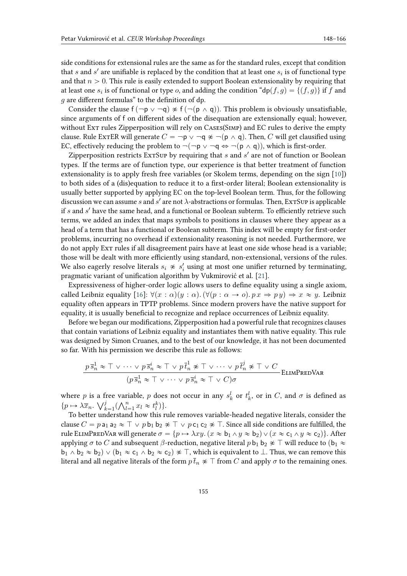side conditions for extensional rules are the same as for the standard rules, except that condition that  $s$  and  $s'$  are unifiable is replaced by the condition that at least one  $s_i$  is of functional type and that  $n > 0$ . This rule is easily extended to support Boolean extensionality by requiring that at least one  $s_i$  is of functional or type  $o$ , and adding the condition "dp $(f, g) = \{(f, g)\}\$  if  $f$  and  $q$  are different formulas" to the definition of dp.

Consider the clause  $f(\neg p \lor \neg q) \not\approx f(\neg (p \land q))$ . This problem is obviously unsatisfiable, since arguments of f on different sides of the disequation are extensionally equal; however, without Ext rules Zipperposition will rely on CASES(SIMP) and EC rules to derive the empty clause. Rule ExtER will generate  $C = \neg p \lor \neg q \not\approx \neg (p \land q)$ . Then, C will get clausified using EC, effectively reducing the problem to  $\neg(\neg p \lor \neg q \Leftrightarrow \neg(p \land q))$ , which is first-order.

Zipperposition restricts ExTSup by requiring that  $s$  and  $s'$  are not of function or Boolean types. If the terms are of function type, our experience is that better treatment of function extensionality is to apply fresh free variables (or Skolem terms, depending on the sign [\[10\]](#page-16-1)) to both sides of a (dis)equation to reduce it to a first-order literal; Boolean extensionality is usually better supported by applying EC on the top-level Boolean term. Thus, for the following discussion we can assume  $s$  and  $s'$  are not  $\lambda$ -abstractions or formulas. Then, Ex $\tau$ Sup is applicable if  $s$  and  $s'$  have the same head, and a functional or Boolean subterm. To efficiently retrieve such terms, we added an index that maps symbols to positions in clauses where they appear as a head of a term that has a functional or Boolean subterm. This index will be empty for first-order problems, incurring no overhead if extensionality reasoning is not needed. Furthermore, we do not apply Ext rules if all disagreement pairs have at least one side whose head is a variable; those will be dealt with more efficiently using standard, non-extensional, versions of the rules. We also eagerly resolve literals  $s_i \not\approx s'_i$  using at most one unifier returned by terminating, pragmatic variant of unification algorithm by Vukmirović et al. [\[21\]](#page-17-3).

Expressiveness of higher-order logic allows users to define equality using a single axiom, called Leibniz equality [\[16\]](#page-16-4):  $\forall (x : \alpha)(y : \alpha) \cdot (\forall (p : \alpha \rightarrow o) \cdot px \Rightarrow py) \Rightarrow x \approx y$ . Leibniz equality often appears in TPTP problems. Since modern provers have the native support for equality, it is usually beneficial to recognize and replace occurrences of Leibniz equality.

Before we began our modifications, Zipperposition had a powerful rule that recognizes clauses that contain variations of Leibniz equality and instantiates them with native equality. This rule was designed by Simon Cruanes, and to the best of our knowledge, it has not been documented so far. With his permission we describe this rule as follows:

$$
\frac{p\,\overline{s}_n^1 \approx \top \vee \cdots \vee p\,\overline{s}_n^i \approx \top \vee p\,\overline{t}_n^1 \not\approx \top \vee \cdots \vee p\,\overline{t}_n^j \not\approx \top \vee C}{(p\,\overline{s}_n^1 \approx \top \vee \cdots \vee p\,\overline{s}_n^i \approx \top \vee C)\sigma}
$$
ELIMPREDVAR

where p is a free variable, p does not occur in any  $s_k^l$  or  $t_k^l$ , or in C, and  $\sigma$  is defined as where p is a fi $\{p \mapsto \lambda \overline{x}_n \colon \bigvee_k^j\}$ ree vari $\sum_{k=1}^{j} (\bigwedge_{l=1}^{n}$  $_{l=1}^{n} x_l \approx t_l^k$  }.

To better understand how this rule removes variable-headed negative literals, consider the clause  $C = p a_1 a_2 \approx \top \vee p b_1 b_2 \not\approx \top \vee p c_1 c_2 \not\approx \top$ . Since all side conditions are fulfilled, the rule ELIMPREDVAR will generate  $\sigma = \{p \mapsto \lambda xy. (x \approx b_1 \wedge y \approx b_2) \vee (x \approx c_1 \wedge y \approx c_2)\}.$  After applying  $\sigma$  to  $C$  and subsequent  $\beta$ -reduction, negative literal  $p$  b<sub>1</sub> b<sub>2</sub>  $\ast$   $\top$  will reduce to (b<sub>1</sub>  $\approx$  $b_1 \wedge b_2 \approx b_2$ )  $\vee$   $(b_1 \approx c_1 \wedge b_2 \approx c_2) \not\approx \top$ , which is equivalent to  $\bot$ . Thus, we can remove this literal and all negative literals of the form  $p \bar{t}_n \approx \top$  from C and apply  $\sigma$  to the remaining ones.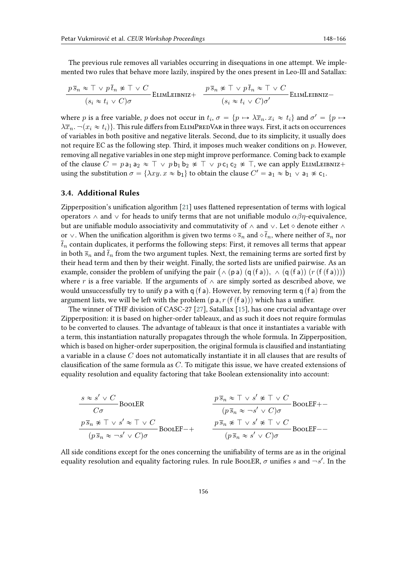The previous rule removes all variables occurring in disequations in one attempt. We implemented two rules that behave more lazily, inspired by the ones present in Leo-III and Satallax:

$$
\frac{p \bar{s}_n \approx \top \vee p \bar{t}_n \not\approx \top \vee C}{(s_i \approx t_i \vee C)\sigma}
$$
ELIMLEIBNIZ+ 
$$
\frac{p \bar{s}_n \not\approx \top \vee p \bar{t}_n \approx \top \vee C}{(s_i \approx t_i \vee C)\sigma'}
$$
ELIMLEIBNIZ-

where p is a free variable, p does not occur in  $t_i$ ,  $\sigma = \{p \mapsto \lambda \overline{x}_n \cdot x_i \approx t_i\}$  and  $\sigma' = \{p \mapsto \lambda \overline{x}_n\}$  $\lambda \overline{x}_n$ .  $\neg(x_i \approx t_i)$ . This rule differs from ELIMPREDVAR in three ways. First, it acts on occurrences of variables in both positive and negative literals. Second, due to its simplicity, it usually does not require EC as the following step. Third, it imposes much weaker conditions on  $p$ . However, removing all negative variables in one step might improve performance. Coming back to example of the clause  $C = p a_1 a_2 \approx \top \vee p b_1 b_2 \not\approx \top \vee p c_1 c_2 \not\approx \top$ , we can apply ELIMLEIBNIZ+ using the substitution  $\sigma = \{\lambda xy. x \approx b_1\}$  to obtain the clause  $C' = a_1 \approx \overline{b_1} \vee a_1 \nless c_1$ .

### **3.4. Additional Rules**

Zipperposition's unification algorithm [\[21\]](#page-17-3) uses flattened representation of terms with logical operators  $\wedge$  and  $\vee$  for heads to unify terms that are not unifiable modulo  $\alpha\beta\eta$ -equivalence, but are unifiable modulo associativity and commutativity of  $\wedge$  and  $\vee$ . Let  $\diamond$  denote either  $\wedge$ or  $\vee$ . When the unification algorithm is given two terms  $\circ \overline{s}_n$  and  $\circ \overline{t}_n$ , where neither of  $\overline{s}_n$  nor  $\bar{t}_n$  contain duplicates, it performs the following steps: First, it removes all terms that appear in both  $\bar{s}_n$  and  $\bar{t}_n$  from the two argument tuples. Next, the remaining terms are sorted first by their head term and then by their weight. Finally, the sorted lists are unified pairwise. As an their head term and then by their weight. Finally, the sorted lists are unified pairwise. As an example, consider the problem of unifying the pair  $(\wedge$  (pa)  $(q(fa))$ ,  $\wedge$   $(q(fa))$   $(r(f(fa))))$ where r is a free variable. If the arguments of  $\wedge$  are simply sorted as described above, we would unsuccessfully try to unify p a with  $q(f a)$ . However, by removing term  $q(f a)$  from the argument lists, we will be left with the problem  $(p \, a, r \, f \, f \, a))$  which has a unifier.

The winner of THF division of CASC-27 [\[27\]](#page-17-9), Satallax [\[15\]](#page-16-3), has one crucial advantage over Zipperposition: it is based on higher-order tableaux, and as such it does not require formulas to be converted to clauses. The advantage of tableaux is that once it instantiates a variable with a term, this instantiation naturally propagates through the whole formula. In Zipperposition, which is based on higher-order superposition, the original formula is clausified and instantiating a variable in a clause  $C$  does not automatically instantiate it in all clauses that are results of clausification of the same formula as  $C$ . To mitigate this issue, we have created extensions of equality resolution and equality factoring that take Boolean extensionality into account:

$$
\frac{s \approx s' \vee C}{C\sigma} \text{BooLER}
$$
\n
$$
\frac{p \bar{s}_n \approx T \vee s' \not\approx T \vee C}{(p \bar{s}_n \approx -s' \vee C)\sigma} \text{BooLEFT} + \frac{p \bar{s}_n \approx T \vee s' \not\approx T \vee C}{(p \bar{s}_n \approx -s' \vee C)\sigma} \text{BooLEFT} + \frac{p \bar{s}_n \not\approx T \vee s' \not\approx T \vee C}{(p \bar{s}_n \approx s' \vee C)\sigma} \text{BooLEFT} - \frac{p \bar{s}_n \otimes T \vee s' \not\approx T \vee C}{(p \bar{s}_n \approx s' \vee C)\sigma} \text{BooLEFT} - \frac{p \bar{s}_n \otimes T \vee s' \otimes T \vee C}{(p \bar{s}_n \approx s' \vee C)\sigma} \text{BooLEFT} - \frac{p \bar{s}_n \otimes T \vee s' \otimes T \vee C}{(p \bar{s}_n \approx s' \vee C)\sigma} \text{BooLEFT} - \frac{p \bar{s}_n \otimes T \vee s' \otimes T \vee C}{(p \bar{s}_n \approx s' \vee C)\sigma} \text{BooLEFT} - \frac{p \bar{s}_n \otimes T \vee s' \otimes T \vee C}{(p \bar{s}_n \approx s' \vee C)\sigma} \text{BooLEFT} - \frac{p \bar{s}_n \otimes T \vee s' \otimes T \vee C}{(p \bar{s}_n \approx s' \vee C)\sigma} \text{BooLEFT} - \frac{p \bar{s}_n \otimes T \vee s' \otimes T \vee C}{(p \bar{s}_n \approx s' \vee C)\sigma} \text{BooLEFT} - \frac{p \bar{s}_n \otimes T \vee s' \otimes T \vee C}{(p \bar{s}_n \approx s' \vee C)\sigma} \text{BooLEFT} - \frac{p \bar{s}_n \otimes T \vee s' \otimes T \vee C}{(p \bar{s}_n \approx s' \vee C)\sigma} \text{BooLEFT} - \frac{p \bar{s}_n \otimes T \vee s' \otimes T \vee C}{(p \bar{s}_n \approx s' \vee C)\sigma} \text{BooLEFT} - \frac{p \bar{s}_n \otimes T \vee s' \otimes T \vee C}{(p \bar{s}_n \
$$

All side conditions except for the ones concerning the unifiability of terms are as in the original equality resolution and equality factoring rules. In rule BooLER,  $\sigma$  unifies  $s$  and  $\neg s'$ . In the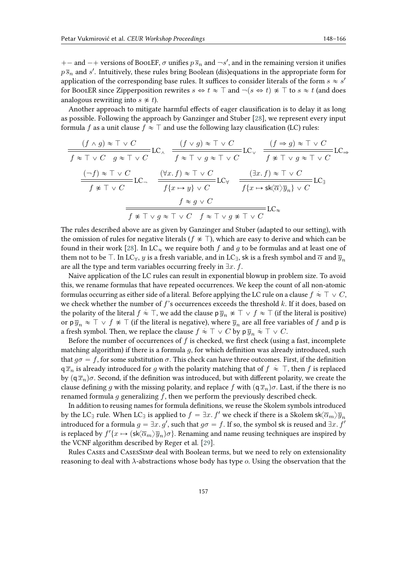+ – and – + versions of BoolEF,  $\sigma$  unifies  $p \bar{s}_n$  and  $\neg s'$ , and in the remaining version it unifies  $p\,\overline{s}_n$  and  $s'$ . Intuitively, these rules bring Boolean (dis)equations in the appropriate form for application of the corresponding base rules. It suffices to consider literals of the form  $s \approx s'$ for BoolER since Zipperposition rewrites  $s \Leftrightarrow t \approx \top$  and  $\neg(s \Leftrightarrow t) \ncong \top$  to  $s \approx t$  (and does analogous rewriting into  $s \not\approx t$ ).

Another approach to mitigate harmful effects of eager clausification is to delay it as long as possible. Following the approach by Ganzinger and Stuber [\[28\]](#page-17-10), we represent every input formula f as a unit clause  $f \approx \top$  and use the following lazy clausification (LC) rules:

$$
\frac{(f \wedge g) \approx \top \vee C}{f \approx \top \vee C \quad g \approx \top \vee C} \text{LC}_{\wedge} \quad \frac{(f \vee g) \approx \top \vee C}{f \approx \top \vee g \approx \top \vee C} \text{LC}_{\vee} \quad \frac{(f \Rightarrow g) \approx \top \vee C}{f \approx \top \vee g \approx \top \vee C} \text{LC}_{\Rightarrow}
$$
\n
$$
\frac{(\neg f) \approx \top \vee C}{f \approx \top \vee C} \text{LC}_{\neg} \quad \frac{(\forall x. f) \approx \top \vee C}{f \{x \mapsto y\} \vee C} \text{LC}_{\forall} \quad \frac{(\exists x. f) \approx \top \vee C}{f \{x \mapsto s \text{K} \overline{\alpha} \} \overline{y}_n\} \vee C} \text{LC}_{\exists}
$$
\n
$$
\frac{f \approx g \vee C}{f \approx \top \vee g \approx \top \vee C \quad f \approx \top \vee g \approx \top \vee C} \text{LC}_{\approx}
$$

The rules described above are as given by Ganzinger and Stuber (adapted to our setting), with the omission of rules for negative literals ( $f \notin \top$ ), which are easy to derive and which can be found in their work [\[28\]](#page-17-10). In LC<sub> $\infty$ </sub> we require both f and g to be formulas and at least one of them not to be  $\top$ . In LC<sub> $\forall$ </sub>,  $y$  is a fresh variable, and in LC<sub>1</sub>, sk is a fresh symbol and  $\overline{\alpha}$  and  $\overline{y}_n$ are all the type and term variables occurring freely in  $\exists x. f$ .

Naive application of the LC rules can result in exponential blowup in problem size. To avoid this, we rename formulas that have repeated occurrences. We keep the count of all non-atomic formulas occurring as either side of a literal. Before applying the LC rule on a clause  $f \approx \top \vee C,$ we check whether the number of  $f$ 's occurrences exceeds the threshold  $k$ . If it does, based on the polarity of the literal  $f \approx \top$ , we add the clause p  $\overline{y}_n \not\approx \top \vee f \approx \top$  (if the literal is positive) or p $\overline{y}_n \approx \overline{\top} \vee f \not\approx \overline{\top}$  (if the literal is negative), where  $\overline{y}_n$  are all free variables of  $f$  and p is a fresh symbol. Then, we replace the clause  $f \approx \top \vee C$  by  $p \overline{y}_n \approx \top \vee C$ .

Before the number of occurrences of  $f$  is checked, we first check (using a fast, incomplete matching algorithm) if there is a formula  $q$ , for which definition was already introduced, such that  $g\sigma = f$ , for some substitution  $\sigma$ . This check can have three outcomes. First, if the definition  $\overline{q} \overline{x}_n$  is already introduced for g with the polarity matching that of  $f \approx \top$ , then f is replaced by  $(q\bar{x}_n)\sigma$ . Second, if the definition was introduced, but with different polarity, we create the clause defining q with the missing polarity, and replace f with  $(q\bar{x}_n)\sigma$ . Last, if the there is no renamed formula  $g$  generalizing  $f$ , then we perform the previously described check.

In addition to reusing names for formula definitions, we reuse the Skolem symbols introduced by the LC<sub>I</sub> rule. When LC<sub>I</sub> is applied to  $f = \exists x. f'$  we check if there is a Skolem sk $\langle \overline{\alpha}_m \rangle \overline{y}_n$ introduced for a formula  $g = \exists x. g'$ , such that  $g\sigma = f$ . If so, the symbol sk is reused and  $\exists x. f'$ is replaced by  $f'(x \mapsto (\mathsf{sk}\langle \overline{\alpha}_m\rangle \overline{y}_n)\sigma\}.$  Renaming and name reusing techniques are inspired by the VCNF algorithm described by Reger et al. [\[29\]](#page-17-11).

Rules Cases and CasesSimp deal with Boolean terms, but we need to rely on extensionality reasoning to deal with  $\lambda$ -abstractions whose body has type  $o$ . Using the observation that the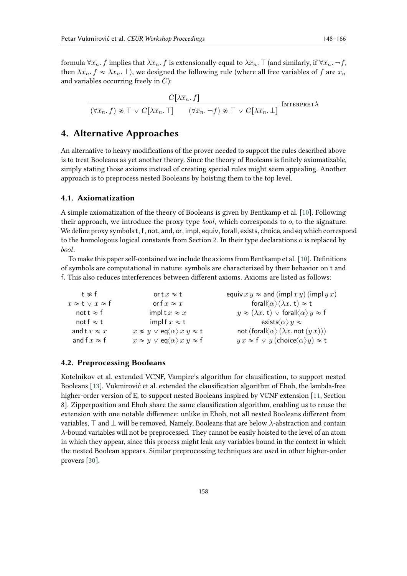formula  $\forall \overline{x}_n$ . *f* implies that  $\lambda \overline{x}_n$ . *f* is extensionally equal to  $\lambda \overline{x}_n$ .  $\top$  (and similarly, if  $\forall \overline{x}_n$ .  $\neg f$ , then  $\lambda \bar{x}_n$ ,  $f \approx \lambda \bar{x}_n$ ,  $\bot$ ), we designed the following rule (where all free variables of f are  $\bar{x}_n$ and variables occurring freely in  $C$ :

$$
\frac{C[\lambda \overline{x}_n. f]}{(\forall \overline{x}_n. f) \not\approx \top \vee C[\lambda \overline{x}_n. \top] \qquad (\forall \overline{x}_n. \neg f) \not\approx \top \vee C[\lambda \overline{x}_n. \bot]}\text{Interpret}\lambda
$$

### <span id="page-10-0"></span>**4. Alternative Approaches**

An alternative to heavy modifications of the prover needed to support the rules described above is to treat Booleans as yet another theory. Since the theory of Booleans is finitely axiomatizable, simply stating those axioms instead of creating special rules might seem appealing. Another approach is to preprocess nested Booleans by hoisting them to the top level.

### **4.1. Axiomatization**

A simple axiomatization of the theory of Booleans is given by Bentkamp et al. [\[10\]](#page-16-1). Following their approach, we introduce the proxy type  $bool$ , which corresponds to  $o$ , to the signature. We define proxy symbols t, f, not, and, or, impl, equiv, forall, exists, choice, and eq which correspond to the homologous logical constants from Section [2.](#page-1-0) In their type declarations  $o$  is replaced by bool.

To make this paper self-contained we include the axioms from Bentkamp et al. [\[10\]](#page-16-1). Definitions of symbols are computational in nature: symbols are characterized by their behavior on t and f. This also reduces interferences between different axioms. Axioms are listed as follows:

| t $\napprox$ f                 | or t $x \approx t$                                                            | equiv $xy \approx$ and (impl $xy$ ) (impl $yx$ )                           |
|--------------------------------|-------------------------------------------------------------------------------|----------------------------------------------------------------------------|
| $x \approx t \vee x \approx f$ | or f $x \approx x$                                                            | foral $\langle \alpha \rangle (\lambda x. t) \approx t$                    |
| not t $\approx$ f              | implt $x \approx x$                                                           | $y \approx (\lambda x. t) \vee$ foral $\langle \alpha \rangle y \approx f$ |
| not f $\approx$ t              | impl f $x \approx t$                                                          | exists $\langle \alpha \rangle y \approx$                                  |
| and t $x \approx x$            | $x \not\approx y \vee \operatorname{eq} \langle \alpha \rangle x y \approx t$ | not (foral $\langle \alpha \rangle (\lambda x \text{ not } (y x)))$        |
| and f $x \approx f$            | $x \approx y \vee \text{eq} \langle \alpha \rangle x y \approx f$             | $y x \approx f \vee y$ (choice $\langle \alpha \rangle y$ ) $\approx t$    |

### **4.2. Preprocessing Booleans**

Kotelnikov et al. extended VCNF, Vampire's algorithm for clausification, to support nested Booleans [\[13\]](#page-16-5). Vukmirović et al. extended the clausification algorithm of Ehoh, the lambda-free higher-order version of E, to support nested Booleans inspired by VCNF extension [\[11,](#page-16-8) Section 8]. Zipperposition and Ehoh share the same clausification algorithm, enabling us to reuse the extension with one notable difference: unlike in Ehoh, not all nested Booleans different from variables,  $\top$  and  $\bot$  will be removed. Namely, Booleans that are below  $\lambda$ -abstraction and contain  $\lambda$ -bound variables will not be preprocessed. They cannot be easily hoisted to the level of an atom in which they appear, since this process might leak any variables bound in the context in which the nested Boolean appears. Similar preprocessing techniques are used in other higher-order provers [\[30\]](#page-17-12).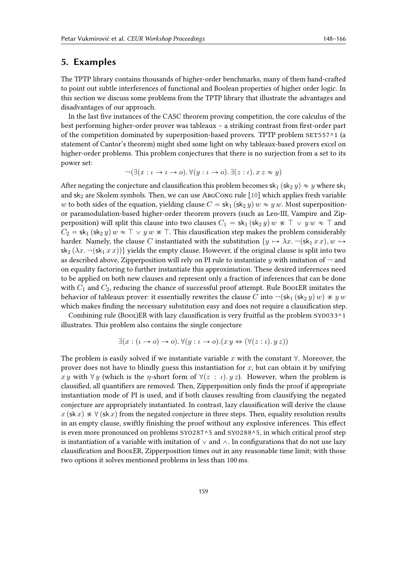### <span id="page-11-0"></span>**5. Examples**

The TPTP library contains thousands of higher-order benchmarks, many of them hand-crafted to point out subtle interferences of functional and Boolean properties of higher order logic. In this section we discuss some problems from the TPTP library that illustrate the advantages and disadvantages of our approach.

In the last five instances of the CASC theorem proving competition, the core calculus of the best performing higher-order prover was tableaux – a striking contrast from first-order part of the competition dominated by superposition-based provers. TPTP problem SET557^1 (a statement of Cantor's theorem) might shed some light on why tableaux-based provers excel on higher-order problems. This problem conjectures that there is no surjection from a set to its power set:

$$
\neg(\exists(x:\iota \to \iota \to o). \forall(y:\iota \to o). \exists(z:\iota). x z \approx y)
$$

After negating the conjecture and clausification this problem becomes  $\mathsf{sk}_1 (\mathsf{sk}_2 y) \approx y$  where  $\mathsf{sk}_1$ and  $sk_2$  are Skolem symbols. Then, we can use ArgCong rule [\[10\]](#page-16-1) which applies fresh variable w to both sides of the equation, yielding clause  $C = sk_1 (sk_2 y) w \approx y w$ . Most superpositionor paramodulation-based higher-order theorem provers (such as Leo-III, Vampire and Zipperposition) will split this clause into two clauses  $C_1 = sk_1 (sk_2 y) w \approx \top \vee y w \approx \top$  and  $C_2 = sk_1 (sk_2 y)$   $w \approx \top \vee y$   $w \not\approx \top$ . This clausification step makes the problem considerably harder. Namely, the clause C instantiated with the substitution  $\{y \mapsto \lambda x. \neg (\mathsf{sk}_1 x x), w \mapsto \emptyset \}$  $s_{2} (\lambda x. \neg (s_{1} x x))$  yields the empty clause. However, if the original clause is split into two as described above, Zipperposition will rely on PI rule to instantiate  $\eta$  with imitation of  $\neg$  and on equality factoring to further instantiate this approximation. These desired inferences need to be applied on both new clauses and represent only a fraction of inferences that can be done with  $C_1$  and  $C_2$ , reducing the chance of successful proof attempt. Rule BoolER imitates the behavior of tableaux prover: it essentially rewrites the clause C into  $\neg(\mathsf{sk}_1(\mathsf{sk}_2 y) w) \not\approx y w$ which makes finding the necessary substitution easy and does not require a clausification step.

Combining rule (Bool)ER with lazy clausification is very fruitful as the problem SY0033^1 illustrates. This problem also contains the single conjecture

$$
\exists (x : (\iota \to o) \to o). \forall (y : \iota \to o). (x y \Leftrightarrow (\forall (z : \iota). y z))
$$

The problem is easily solved if we instantiate variable x with the constant  $\forall$ . Moreover, the prover does not have to blindly guess this instantiation for  $x$ , but can obtain it by unifying x y with  $\forall y$  (which is the  $\eta$ -short form of  $\forall (z : \iota) . y z$ ). However, when the problem is clausified, all quantifiers are removed. Then, Zipperposition only finds the proof if appropriate instantiation mode of PI is used, and if both clauses resulting from clausifying the negated conjecture are appropriately instantiated. In contrast, lazy clausification will derive the clause  $x$  (sk  $x$ )  $\neq \forall$  (sk  $x$ ) from the negated conjecture in three steps. Then, equality resolution results in an empty clause, swiftly finishing the proof without any explosive inferences. This effect is even more pronounced on problems SYO287^5 and SYO288^5, in which critical proof step is instantiation of a variable with imitation of  $\vee$  and  $\wedge$ . In configurations that do not use lazy clausification and BoolER, Zipperposition times out in any reasonable time limit; with those two options it solves mentioned problems in less than 100 ms.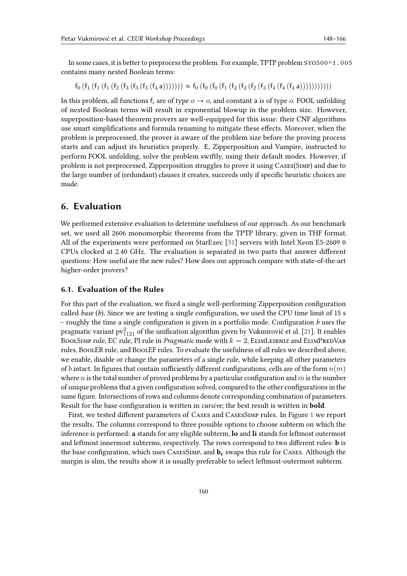In some cases, it is better to preprocess the problem. For example, TPTP problem SYO500^1.005 contains many nested Boolean terms:

 $f_0$   $(f_1$   $(f_1$   $(f_2$   $(f_3$   $(f_3$   $(f_3$   $(f_4 a))))))$   $\gg$   $f_0$   $(f_0$   $(f_0$   $(f_1$   $(f_2$   $(f_2$   $(f_3$   $(f_4$   $(f_4$   $(f_4 a)))))))))$ 

In this problem, all functions  $f_i$  are of type  $o \rightarrow o$ , and constant a is of type  $o$ . FOOL unfolding of nested Boolean terms will result in exponential blowup in the problem size. However, superposition-based theorem provers are well-equipped for this issue: their CNF algorithms use smart simplifications and formula renaming to mitigate these effects. Moreover, when the problem is preprocessed, the prover is aware of the problem size before the proving process starts and can adjust its heuristics properly. E, Zipperposition and Vampire, instructed to perform FOOL unfolding, solve the problem swiftly, using their default modes. However, if problem is not preprocessed, Zipperposition struggles to prove it using Cases(Simp) and due to the large number of (redundant) clauses it creates, succeeds only if specific heuristic choices are made.

### <span id="page-12-0"></span>**6. Evaluation**

We performed extensive evaluation to determine usefulness of our approach. As our benchmark set, we used all 2606 monomorphic theorems from the TPTP library, given in THF format. All of the experiments were performed on StarExec [\[31\]](#page-17-13) servers with Intel Xeon E5-2609 0 CPUs clocked at 2.40 GHz. The evaluation is separated in two parts that answer different questions: How useful are the new rules? How does our approach compare with state-of-the-art higher-order provers?

#### **6.1. Evaluation of the Rules**

For this part of the evaluation, we fixed a single well-performing Zipperposition configuration called *base* (*b*). Since we are testing a single configuration, we used the CPU time limit of 15 s – roughly the time a single configuration is given in a portfolio mode. Configuration *b* uses the pragmatic variant  $\text{pv}_{1121}^2$  of the unification algorithm given by Vukmirović et al. [\[21\]](#page-17-3). It enables BOOLSIMP rule, EC rule, PI rule in *Pragmatic* mode with  $k = 2$ , ELIMLEIBNIZ and ELIMPREDVAR rules, BoolER rule, and BoolEF rules. To evaluate the usefulness of all rules we described above, we enable, disable or change the parameters of a single rule, while keeping all other parameters of *b* intact. In figures that contain sufficiently different configurations, cells are of the form  $n(m)$ where *n* is the total number of proved problems by a particular configuration and  $m$  is the number of unique problems that a given configuration solved, compared to the other configurations in the same figure. Intersections of rows and columns denote corresponding combination of parameters. Result for the base configuration is written in *cursive*; the best result is written in **bold**.

First, we tested different parameters of Cases and CasesSimp rules. In Figure [1](#page-13-0) we report the results. The columns correspond to three possible options to choose subterm on which the inference is performed: **a** stands for any eligible subterm, **lo** and **li** stands for leftmost outermost and leftmost innermost subterms, respectively. The rows correspond to two different rules: **b** is the base configuration, which uses CasesSimp, and **b<sup>c</sup>** swaps this rule for Cases. Although the margin is slim, the results show it is usually preferable to select leftmost-outermost subterm.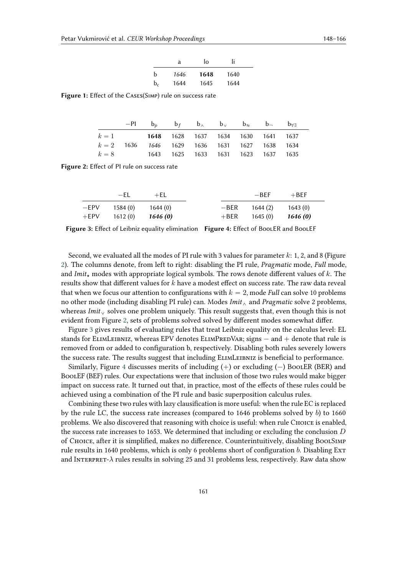|                | a    | I٥   | Ιi   |
|----------------|------|------|------|
| b              | 1646 | 1648 | 1640 |
| $\mathbf{b}_c$ | 1644 | 1645 | 1644 |

<span id="page-13-1"></span><span id="page-13-0"></span>**Figure 1:** Effect of the Cases(Simp) rule on success rate

|                                                 | $-PI$ $b_p$ $b_f$ $b_\wedge$ $b_\vee$ $b_\approx$ $b_\neg$ $b_{\forall\exists}$ |  |  |  |
|-------------------------------------------------|---------------------------------------------------------------------------------|--|--|--|
| $k = 1$ 1648 1628 1637 1634 1630 1641 1637      |                                                                                 |  |  |  |
| $k = 2$ 1636 1646 1629 1636 1631 1627 1638 1634 |                                                                                 |  |  |  |
| $k = 8$ 1643 1625 1633 1631 1623 1637 1635      |                                                                                 |  |  |  |

**Figure 2:** Effect of PI rule on success rate

<span id="page-13-2"></span>

|        | —FL.    | $+EL$    |        | $-RFF$   | $+BEF$   |
|--------|---------|----------|--------|----------|----------|
| $-EPV$ | 1584(0) | 1644 (0) | —BER   | 1644 (2) | 1643(0)  |
| $+EPV$ | 1612(0) | 1646 (0) | $+BER$ | 1645(0)  | 1646 (0) |

**Figure 3:** Effect of Leibniz equality elimination **Figure 4:** Effect of BoolER and BoolEF

Second, we evaluated all the modes of PI rule with 3 values for parameter  $k: 1, 2$ , and 8 (Figure [2\)](#page-13-1). The columns denote, from left to right: disabling the PI rule, *Pragmatic* mode, *Full* mode, and *Imit*<sub>\*</sub> modes with appropriate logical symbols. The rows denote different values of  $k$ . The results show that different values for  $k$  have a modest effect on success rate. The raw data reveal that when we focus our attention to configurations with  $k = 2$ , mode *Full* can solve 10 problems no other mode (including disabling PI rule) can. Modes *Imit*^ and *Pragmatic* solve 2 problems, whereas *Imit*<sub> $\vee$ </sub> solves one problem uniquely. This result suggests that, even though this is not evident from Figure [2,](#page-13-1) sets of problems solved solved by different modes somewhat differ.

Figure [3](#page-13-2) gives results of evaluating rules that treat Leibniz equality on the calculus level: EL stands for ELIMLEIBNIZ, whereas EPV denotes ELIMPREDVAR; signs  $-$  and  $+$  denote that rule is removed from or added to configuration b, respectively. Disabling both rules severely lowers the success rate. The results suggest that including ElimLeibniz is beneficial to performance.

Similarly, Figure [4](#page-13-2) discusses merits of including  $(+)$  or excluding  $(-)$  BoolER (BER) and BoolEF (BEF) rules. Our expectations were that inclusion of those two rules would make bigger impact on success rate. It turned out that, in practice, most of the effects of these rules could be achieved using a combination of the PI rule and basic superposition calculus rules.

Combining these two rules with lazy clausification is more useful: when the rule EC is replaced by the rule LC, the success rate increases (compared to  $1646$  problems solved by  $b$ ) to  $1660$ problems. We also discovered that reasoning with choice is useful: when rule CHOICE is enabled, the success rate increases to 1653. We determined that including or excluding the conclusion  $D$ of Choice, after it is simplified, makes no difference. Counterintuitively, disabling BoolSimp rule results in 1640 problems, which is only 6 problems short of configuration  $b$ . Disabling Ext and INTERPRET- $\lambda$  rules results in solving 25 and 31 problems less, respectively. Raw data show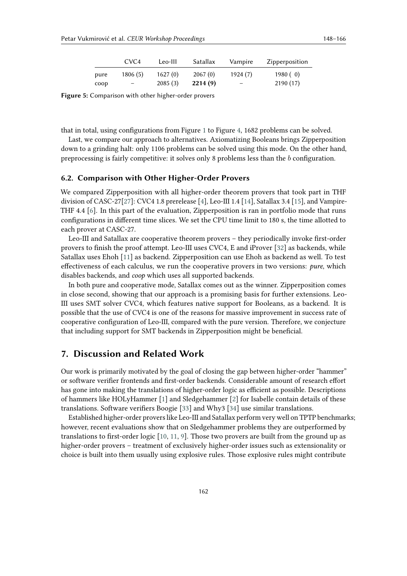|      | CVC <sub>4</sub> | Leo-III | Satallax | Vampire                  | Zipperposition |
|------|------------------|---------|----------|--------------------------|----------------|
| pure | 1806(5)          | 1627(0) | 2067(0)  | 1924 (7)                 | 1980(0)        |
| coop | $-$              | 2085(3) | 2214(9)  | $\overline{\phantom{0}}$ | 2190(17)       |

**Figure 5:** Comparison with other higher-order provers

that in total, using configurations from Figure [1](#page-13-0) to Figure [4,](#page-13-2) 1682 problems can be solved.

Last, we compare our approach to alternatives. Axiomatizing Booleans brings Zipperposition down to a grinding halt: only 1106 problems can be solved using this mode. On the other hand, preprocessing is fairly competitive: it solves only 8 problems less than the  $b$  configuration.

#### **6.2. Comparison with Other Higher-Order Provers**

We compared Zipperposition with all higher-order theorem provers that took part in THF division of CASC-27[\[27\]](#page-17-9): CVC4 1.8 prerelease [\[4\]](#page-16-9), Leo-III 1.4 [\[14\]](#page-16-2), Satallax 3.4 [\[15\]](#page-16-3), and Vampire-THF 4.4 [\[6\]](#page-16-10). In this part of the evaluation, Zipperposition is ran in portfolio mode that runs configurations in different time slices. We set the CPU time limit to 180 s, the time allotted to each prover at CASC-27.

Leo-III and Satallax are cooperative theorem provers – they periodically invoke first-order provers to finish the proof attempt. Leo-III uses CVC4, E and iProver [\[32\]](#page-17-14) as backends, while Satallax uses Ehoh [\[11\]](#page-16-8) as backend. Zipperposition can use Ehoh as backend as well. To test effectiveness of each calculus, we run the cooperative provers in two versions: *pure*, which disables backends, and *coop* which uses all supported backends.

In both pure and cooperative mode, Satallax comes out as the winner. Zipperposition comes in close second, showing that our approach is a promising basis for further extensions. Leo-III uses SMT solver CVC4, which features native support for Booleans, as a backend. It is possible that the use of CVC4 is one of the reasons for massive improvement in success rate of cooperative configuration of Leo-III, compared with the pure version. Therefore, we conjecture that including support for SMT backends in Zipperposition might be beneficial.

### <span id="page-14-0"></span>**7. Discussion and Related Work**

Our work is primarily motivated by the goal of closing the gap between higher-order "hammer" or software verifier frontends and first-order backends. Considerable amount of research effort has gone into making the translations of higher-order logic as efficient as possible. Descriptions of hammers like HOLyHammer [\[1\]](#page-16-11) and Sledgehammer [\[2\]](#page-16-12) for Isabelle contain details of these translations. Software verifiers Boogie [\[33\]](#page-17-15) and Why3 [\[34\]](#page-17-16) use similar translations.

Established higher-order provers like Leo-III and Satallax perform very well on TPTP benchmarks; however, recent evaluations show that on Sledgehammer problems they are outperformed by translations to first-order logic [\[10,](#page-16-1) [11,](#page-16-8) [9\]](#page-16-13). Those two provers are built from the ground up as higher-order provers – treatment of exclusively higher-order issues such as extensionality or choice is built into them usually using explosive rules. Those explosive rules might contribute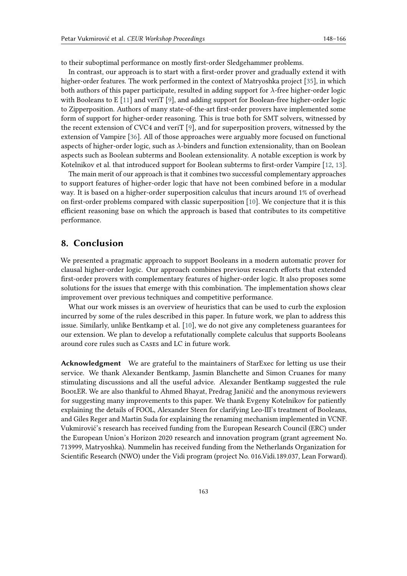to their suboptimal performance on mostly first-order Sledgehammer problems.

In contrast, our approach is to start with a first-order prover and gradually extend it with higher-order features. The work performed in the context of Matryoshka project [\[35\]](#page-17-17), in which both authors of this paper participate, resulted in adding support for  $\lambda$ -free higher-order logic with Booleans to E [\[11\]](#page-16-8) and veriT [\[9\]](#page-16-13), and adding support for Boolean-free higher-order logic to Zipperposition. Authors of many state-of-the-art first-order provers have implemented some form of support for higher-order reasoning. This is true both for SMT solvers, witnessed by the recent extension of CVC4 and veriT [\[9\]](#page-16-13), and for superposition provers, witnessed by the extension of Vampire [\[36\]](#page-18-0). All of those approaches were arguably more focused on functional aspects of higher-order logic, such as  $\lambda$ -binders and function extensionality, than on Boolean aspects such as Boolean subterms and Boolean extensionality. A notable exception is work by Kotelnikov et al. that introduced support for Boolean subterms to first-order Vampire [\[12,](#page-16-0) [13\]](#page-16-5).

The main merit of our approach is that it combines two successful complementary approaches to support features of higher-order logic that have not been combined before in a modular way. It is based on a higher-order superposition calculus that incurs around 1% of overhead on first-order problems compared with classic superposition [\[10\]](#page-16-1). We conjecture that it is this efficient reasoning base on which the approach is based that contributes to its competitive performance.

### **8. Conclusion**

We presented a pragmatic approach to support Booleans in a modern automatic prover for clausal higher-order logic. Our approach combines previous research efforts that extended first-order provers with complementary features of higher-order logic. It also proposes some solutions for the issues that emerge with this combination. The implementation shows clear improvement over previous techniques and competitive performance.

What our work misses is an overview of heuristics that can be used to curb the explosion incurred by some of the rules described in this paper. In future work, we plan to address this issue. Similarly, unlike Bentkamp et al. [\[10\]](#page-16-1), we do not give any completeness guarantees for our extension. We plan to develop a refutationally complete calculus that supports Booleans around core rules such as Cases and LC in future work.

**Acknowledgment** We are grateful to the maintainers of StarExec for letting us use their service. We thank Alexander Bentkamp, Jasmin Blanchette and Simon Cruanes for many stimulating discussions and all the useful advice. Alexander Bentkamp suggested the rule BoolER. We are also thankful to Ahmed Bhayat, Predrag Janičić and the anonymous reviewers for suggesting many improvements to this paper. We thank Evgeny Kotelnikov for patiently explaining the details of FOOL, Alexander Steen for clarifying Leo-III's treatment of Booleans, and Giles Reger and Martin Suda for explaining the renaming mechanism implemented in VCNF. Vukmirović's research has received funding from the European Research Council (ERC) under the European Union's Horizon 2020 research and innovation program (grant agreement No. 713999, Matryoshka). Nummelin has received funding from the Netherlands Organization for Scientific Research (NWO) under the Vidi program (project No. 016.Vidi.189.037, Lean Forward).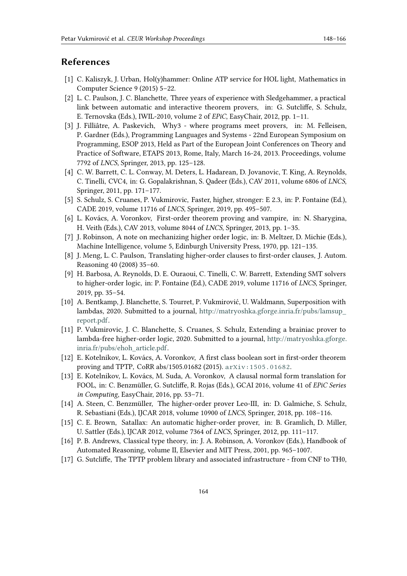## **References**

- <span id="page-16-11"></span>[1] C. Kaliszyk, J. Urban, Hol(y)hammer: Online ATP service for HOL light, Mathematics in Computer Science 9 (2015) 5–22.
- <span id="page-16-12"></span>[2] L. C. Paulson, J. C. Blanchette, Three years of experience with Sledgehammer, a practical link between automatic and interactive theorem provers, in: G. Sutcliffe, S. Schulz, E. Ternovska (Eds.), IWIL-2010, volume 2 of *EPiC*, EasyChair, 2012, pp. 1–11.
- [3] J. Filliâtre, A. Paskevich, Why3 where programs meet provers, in: M. Felleisen, P. Gardner (Eds.), Programming Languages and Systems - 22nd European Symposium on Programming, ESOP 2013, Held as Part of the European Joint Conferences on Theory and Practice of Software, ETAPS 2013, Rome, Italy, March 16-24, 2013. Proceedings, volume 7792 of *LNCS*, Springer, 2013, pp. 125–128.
- <span id="page-16-9"></span>[4] C. W. Barrett, C. L. Conway, M. Deters, L. Hadarean, D. Jovanovic, T. King, A. Reynolds, C. Tinelli, CVC4, in: G. Gopalakrishnan, S. Qadeer (Eds.), CAV 2011, volume 6806 of *LNCS*, Springer, 2011, pp. 171–177.
- <span id="page-16-7"></span>[5] S. Schulz, S. Cruanes, P. Vukmirovic, Faster, higher, stronger: E 2.3, in: P. Fontaine (Ed.), CADE 2019, volume 11716 of *LNCS*, Springer, 2019, pp. 495–507.
- <span id="page-16-10"></span>[6] L. Kovács, A. Voronkov, First-order theorem proving and vampire, in: N. Sharygina, H. Veith (Eds.), CAV 2013, volume 8044 of *LNCS*, Springer, 2013, pp. 1–35.
- [7] J. Robinson, A note on mechanizing higher order logic, in: B. Meltzer, D. Michie (Eds.), Machine Intelligence, volume 5, Edinburgh University Press, 1970, pp. 121–135.
- [8] J. Meng, L. C. Paulson, Translating higher-order clauses to first-order clauses, J. Autom. Reasoning 40 (2008) 35–60.
- <span id="page-16-13"></span>[9] H. Barbosa, A. Reynolds, D. E. Ouraoui, C. Tinelli, C. W. Barrett, Extending SMT solvers to higher-order logic, in: P. Fontaine (Ed.), CADE 2019, volume 11716 of *LNCS*, Springer, 2019, pp. 35–54.
- <span id="page-16-1"></span>[10] A. Bentkamp, J. Blanchette, S. Tourret, P. Vukmirović, U. Waldmann, Superposition with lambdas, 2020. Submitted to a journal, [http://matryoshka.gforge.inria.fr/pubs/lamsup\\_](http://matryoshka.gforge.inria.fr/pubs/lamsup_report.pdf) [report.pdf.](http://matryoshka.gforge.inria.fr/pubs/lamsup_report.pdf)
- <span id="page-16-8"></span>[11] P. Vukmirovic, J. C. Blanchette, S. Cruanes, S. Schulz, Extending a brainiac prover to lambda-free higher-order logic, 2020. Submitted to a journal, [http://matryoshka.gforge.](http://matryoshka.gforge.inria.fr/pubs/ehoh_article.pdf) [inria.fr/pubs/ehoh\\_article.pdf.](http://matryoshka.gforge.inria.fr/pubs/ehoh_article.pdf)
- <span id="page-16-0"></span>[12] E. Kotelnikov, L. Kovács, A. Voronkov, A first class boolean sort in first-order theorem proving and TPTP, CoRR abs/1505.01682 (2015). [arXiv:1505.01682](http://arxiv.org/abs/1505.01682).
- <span id="page-16-5"></span>[13] E. Kotelnikov, L. Kovács, M. Suda, A. Voronkov, A clausal normal form translation for FOOL, in: C. Benzmüller, G. Sutcliffe, R. Rojas (Eds.), GCAI 2016, volume 41 of *EPiC Series in Computing*, EasyChair, 2016, pp. 53–71.
- <span id="page-16-2"></span>[14] A. Steen, C. Benzmüller, The higher-order prover Leo-III, in: D. Galmiche, S. Schulz, R. Sebastiani (Eds.), IJCAR 2018, volume 10900 of *LNCS*, Springer, 2018, pp. 108–116.
- <span id="page-16-3"></span>[15] C. E. Brown, Satallax: An automatic higher-order prover, in: B. Gramlich, D. Miller, U. Sattler (Eds.), IJCAR 2012, volume 7364 of *LNCS*, Springer, 2012, pp. 111–117.
- <span id="page-16-4"></span>[16] P. B. Andrews, Classical type theory, in: J. A. Robinson, A. Voronkov (Eds.), Handbook of Automated Reasoning, volume II, Elsevier and MIT Press, 2001, pp. 965–1007.
- <span id="page-16-6"></span>[17] G. Sutcliffe, The TPTP problem library and associated infrastructure - from CNF to TH0,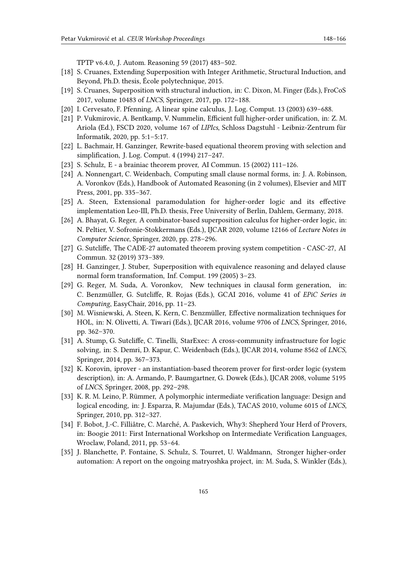TPTP v6.4.0, J. Autom. Reasoning 59 (2017) 483–502.

- <span id="page-17-0"></span>[18] S. Cruanes, Extending Superposition with Integer Arithmetic, Structural Induction, and Beyond, Ph.D. thesis, École polytechnique, 2015.
- <span id="page-17-1"></span>[19] S. Cruanes, Superposition with structural induction, in: C. Dixon, M. Finger (Eds.), FroCoS 2017, volume 10483 of *LNCS*, Springer, 2017, pp. 172–188.
- <span id="page-17-2"></span>[20] I. Cervesato, F. Pfenning, A linear spine calculus, J. Log. Comput. 13 (2003) 639–688.
- <span id="page-17-3"></span>[21] P. Vukmirovic, A. Bentkamp, V. Nummelin, Efficient full higher-order unification, in: Z. M. Ariola (Ed.), FSCD 2020, volume 167 of *LIPIcs*, Schloss Dagstuhl - Leibniz-Zentrum für Informatik, 2020, pp. 5:1–5:17.
- <span id="page-17-4"></span>[22] L. Bachmair, H. Ganzinger, Rewrite-based equational theorem proving with selection and simplification, J. Log. Comput. 4 (1994) 217–247.
- <span id="page-17-5"></span>[23] S. Schulz, E - a brainiac theorem prover, AI Commun. 15 (2002) 111–126.
- <span id="page-17-6"></span>[24] A. Nonnengart, C. Weidenbach, Computing small clause normal forms, in: J. A. Robinson, A. Voronkov (Eds.), Handbook of Automated Reasoning (in 2 volumes), Elsevier and MIT Press, 2001, pp. 335–367.
- <span id="page-17-7"></span>[25] A. Steen, Extensional paramodulation for higher-order logic and its effective implementation Leo-III, Ph.D. thesis, Free University of Berlin, Dahlem, Germany, 2018.
- <span id="page-17-8"></span>[26] A. Bhayat, G. Reger, A combinator-based superposition calculus for higher-order logic, in: N. Peltier, V. Sofronie-Stokkermans (Eds.), IJCAR 2020, volume 12166 of *Lecture Notes in Computer Science*, Springer, 2020, pp. 278–296.
- <span id="page-17-9"></span>[27] G. Sutcliffe, The CADE-27 automated theorem proving system competition - CASC-27, AI Commun. 32 (2019) 373–389.
- <span id="page-17-10"></span>[28] H. Ganzinger, J. Stuber, Superposition with equivalence reasoning and delayed clause normal form transformation, Inf. Comput. 199 (2005) 3–23.
- <span id="page-17-11"></span>[29] G. Reger, M. Suda, A. Voronkov, New techniques in clausal form generation, in: C. Benzmüller, G. Sutcliffe, R. Rojas (Eds.), GCAI 2016, volume 41 of *EPiC Series in Computing*, EasyChair, 2016, pp. 11–23.
- <span id="page-17-12"></span>[30] M. Wisniewski, A. Steen, K. Kern, C. Benzmüller, Effective normalization techniques for HOL, in: N. Olivetti, A. Tiwari (Eds.), IJCAR 2016, volume 9706 of *LNCS*, Springer, 2016, pp. 362–370.
- <span id="page-17-13"></span>[31] A. Stump, G. Sutcliffe, C. Tinelli, StarExec: A cross-community infrastructure for logic solving, in: S. Demri, D. Kapur, C. Weidenbach (Eds.), IJCAR 2014, volume 8562 of *LNCS*, Springer, 2014, pp. 367–373.
- <span id="page-17-14"></span>[32] K. Korovin, iprover - an instantiation-based theorem prover for first-order logic (system description), in: A. Armando, P. Baumgartner, G. Dowek (Eds.), IJCAR 2008, volume 5195 of *LNCS*, Springer, 2008, pp. 292–298.
- <span id="page-17-15"></span>[33] K. R. M. Leino, P. Rümmer, A polymorphic intermediate verification language: Design and logical encoding, in: J. Esparza, R. Majumdar (Eds.), TACAS 2010, volume 6015 of *LNCS*, Springer, 2010, pp. 312–327.
- <span id="page-17-16"></span>[34] F. Bobot, J.-C. Filliâtre, C. Marché, A. Paskevich, Why3: Shepherd Your Herd of Provers, in: Boogie 2011: First International Workshop on Intermediate Verification Languages, Wroclaw, Poland, 2011, pp. 53–64.
- <span id="page-17-17"></span>[35] J. Blanchette, P. Fontaine, S. Schulz, S. Tourret, U. Waldmann, Stronger higher-order automation: A report on the ongoing matryoshka project, in: M. Suda, S. Winkler (Eds.),